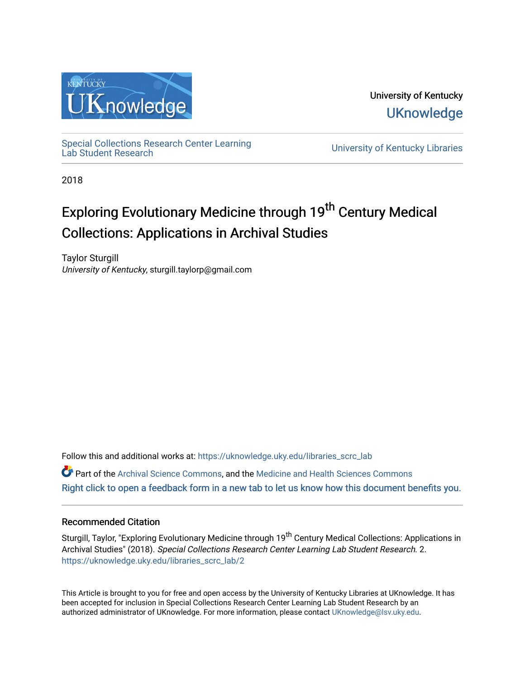

University of Kentucky **UKnowledge** 

[Special Collections Research Center Learning](https://uknowledge.uky.edu/libraries_scrc_lab)<br>Lab Student Research

University of Kentucky Libraries

2018

### Exploring Evolutionary Medicine through 19<sup>th</sup> Century Medical Collections: Applications in Archival Studies

Taylor Sturgill University of Kentucky, sturgill.taylorp@gmail.com

Follow this and additional works at: [https://uknowledge.uky.edu/libraries\\_scrc\\_lab](https://uknowledge.uky.edu/libraries_scrc_lab?utm_source=uknowledge.uky.edu%2Flibraries_scrc_lab%2F2&utm_medium=PDF&utm_campaign=PDFCoverPages)

Part of the [Archival Science Commons,](http://network.bepress.com/hgg/discipline/1021?utm_source=uknowledge.uky.edu%2Flibraries_scrc_lab%2F2&utm_medium=PDF&utm_campaign=PDFCoverPages) and the [Medicine and Health Sciences Commons](http://network.bepress.com/hgg/discipline/648?utm_source=uknowledge.uky.edu%2Flibraries_scrc_lab%2F2&utm_medium=PDF&utm_campaign=PDFCoverPages) [Right click to open a feedback form in a new tab to let us know how this document benefits you.](https://uky.az1.qualtrics.com/jfe/form/SV_9mq8fx2GnONRfz7)

### Recommended Citation

Sturgill, Taylor, "Exploring Evolutionary Medicine through 19<sup>th</sup> Century Medical Collections: Applications in Archival Studies" (2018). Special Collections Research Center Learning Lab Student Research. 2. [https://uknowledge.uky.edu/libraries\\_scrc\\_lab/2](https://uknowledge.uky.edu/libraries_scrc_lab/2?utm_source=uknowledge.uky.edu%2Flibraries_scrc_lab%2F2&utm_medium=PDF&utm_campaign=PDFCoverPages)

This Article is brought to you for free and open access by the University of Kentucky Libraries at UKnowledge. It has been accepted for inclusion in Special Collections Research Center Learning Lab Student Research by an authorized administrator of UKnowledge. For more information, please contact [UKnowledge@lsv.uky.edu](mailto:UKnowledge@lsv.uky.edu).